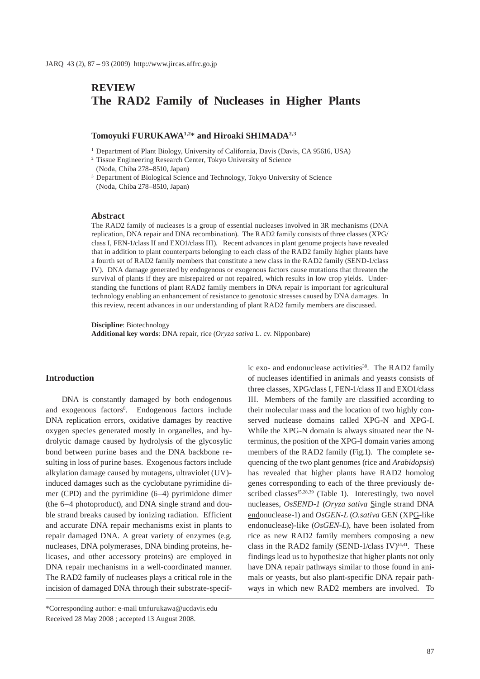# **REVIEW The RAD2 Family of Nucleases in Higher Plants**

# **Tomoyuki FURUKAWA1,2**\* **and Hiroaki SHIMADA2,3**

1 Department of Plant Biology, University of California, Davis (Davis, CA 95616, USA)

2 Tissue Engineering Research Center, Tokyo University of Science (Noda, Chiba 278–8510, Japan)

3 Department of Biological Science and Technology, Tokyo University of Science (Noda, Chiba 278–8510, Japan)

#### **Abstract**

The RAD2 family of nucleases is a group of essential nucleases involved in 3R mechanisms (DNA replication, DNA repair and DNA recombination). The RAD2 family consists of three classes (XPG/ class I, FEN-1/class II and EXO1/class III). Recent advances in plant genome projects have revealed that in addition to plant counterparts belonging to each class of the RAD2 family higher plants have a fourth set of RAD2 family members that constitute a new class in the RAD2 family (SEND-1/class IV). DNA damage generated by endogenous or exogenous factors cause mutations that threaten the survival of plants if they are misrepaired or not repaired, which results in low crop yields. Understanding the functions of plant RAD2 family members in DNA repair is important for agricultural technology enabling an enhancement of resistance to genotoxic stresses caused by DNA damages. In this review, recent advances in our understanding of plant RAD2 family members are discussed.

**Discipline**: Biotechnology **Additional key words**: DNA repair, rice (*Oryza sativa* L. cv. Nipponbare)

### **Introduction**

DNA is constantly damaged by both endogenous and exogenous factors<sup>8</sup>. Endogenous factors include DNA replication errors, oxidative damages by reactive oxygen species generated mostly in organelles, and hydrolytic damage caused by hydrolysis of the glycosylic bond between purine bases and the DNA backbone resulting in loss of purine bases. Exogenous factors include alkylation damage caused by mutagens, ultraviolet (UV) induced damages such as the cyclobutane pyrimidine dimer (CPD) and the pyrimidine (6–4) pyrimidone dimer (the 6–4 photoproduct), and DNA single strand and double strand breaks caused by ionizing radiation. Efficient and accurate DNA repair mechanisms exist in plants to repair damaged DNA. A great variety of enzymes (e.g. nucleases, DNA polymerases, DNA binding proteins, helicases, and other accessory proteins) are employed in DNA repair mechanisms in a well-coordinated manner. The RAD2 family of nucleases plays a critical role in the incision of damaged DNA through their substrate-specific exo- and endonuclease activities<sup>38</sup>. The RAD2 family of nucleases identified in animals and yeasts consists of three classes, XPG/class I, FEN-1/class II and EXO1/class III. Members of the family are classified according to their molecular mass and the location of two highly conserved nuclease domains called XPG-N and XPG-I. While the XPG-N domain is always situated near the Nterminus, the position of the XPG-I domain varies among members of the RAD2 family (Fig.1). The complete sequencing of the two plant genomes (rice and *Arabidopsis*) has revealed that higher plants have RAD2 homolog genes corresponding to each of the three previously described classes $15,28,39$  (Table 1). Interestingly, two novel nucleases, *OsSEND-1* (*Oryza sativa* Single strand DNA endonuclease-1) and *OsGEN-L* (*O.sativa* GEN (XPG-like endonuclease)-like (*OsGEN-L*), have been isolated from rice as new RAD2 family members composing a new class in the RAD2 family (SEND-1/class IV) $14,41$ . These findings lead us to hypothesize that higher plants not only have DNA repair pathways similar to those found in animals or yeasts, but also plant-specific DNA repair pathways in which new RAD2 members are involved. To

<sup>\*</sup>Corresponding author: e-mail tmfurukawa@ucdavis.edu Received 28 May 2008 ; accepted 13 August 2008.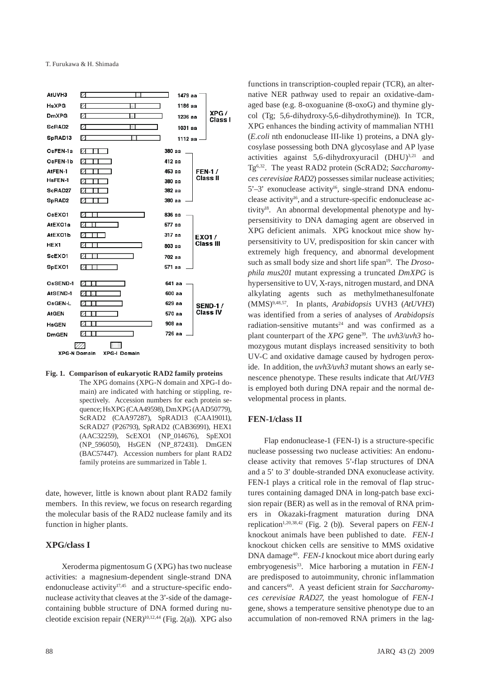

# **Fig. 1. Comparison of eukaryotic RAD2 family proteins**

The XPG domains (XPG-N domain and XPG-I domain) are indicated with hatching or stippling, respectively. Accession numbers for each protein sequence; HsXPG (CAA49598), DmXPG (AAD50779), ScRAD2 (CAA97287), SpRAD13 (CAA19011), ScRAD27 (P26793), SpRAD2 (CAB36991), HEX1 (AAC32259), ScEXO1 (NP\_014676), SpEXO1 (NP\_596050), HsGEN (NP\_872431). DmGEN (BAC57447). Accession numbers for plant RAD2 family proteins are summarized in Table 1.

date, however, little is known about plant RAD2 family members. In this review, we focus on research regarding the molecular basis of the RAD2 nuclease family and its function in higher plants.

# **XPG/class I**

Xeroderma pigmentosum G (XPG) has two nuclease activities: a magnesium-dependent single-strand DNA endonuclease activity $17,45$  and a structure-specific endonuclease activity that cleaves at the 3'-side of the damagecontaining bubble structure of DNA formed during nucleotide excision repair (NER)10,12,44 (Fig. 2(a)). XPG also functions in transcription-coupled repair (TCR), an alternative NER pathway used to repair an oxidative-damaged base (e.g. 8-oxoguanine (8-oxoG) and thymine glycol (Tg; 5,6-dihydroxy-5,6-dihydrothymine)). In TCR, XPG enhances the binding activity of mammalian NTH1 (*E.coli* nth endonuclease III-like 1) proteins, a DNA glycosylase possessing both DNA glycosylase and AP lyase activities against  $5.6$ -dihydroxyuracil (DHU)<sup>3,21</sup> and Tg6,32. The yeast RAD2 protein (ScRAD2; *Saccharomyces cerevisiae RAD2*) possesses similar nuclease activities;  $5'-3'$  exonuclease activity<sup>16</sup>, single-strand DNA endonuclease activity16, and a structure-specific endonuclease activity<sup>18</sup>. An abnormal developmental phenotype and hypersensitivity to DNA damaging agent are observed in XPG deficient animals. XPG knockout mice show hypersensitivity to UV, predisposition for skin cancer with extremely high frequency, and abnormal development such as small body size and short life span<sup>19</sup>. The *Drosophila mus201* mutant expressing a truncated *DmXPG* is hypersensitive to UV, X-rays, nitrogen mustard, and DNA alkylating agents such as methylmethanesulfonate (MMS)9,48,57. In plants, *Arabidopsis* UVH3 (*AtUVH3*) was identified from a series of analyses of *Arabidopsis*  radiation-sensitive mutants<sup>24</sup> and was confirmed as a plant counterpart of the *XPG* gene<sup>39</sup>. The *uvh3/uvh3* homozygous mutant displays increased sensitivity to both UV-C and oxidative damage caused by hydrogen peroxide. In addition, the *uvh3/uvh3* mutant shows an early senescence phenotype. These results indicate that *AtUVH3*  is employed both during DNA repair and the normal developmental process in plants.

# **FEN-1/class II**

Flap endonuclease-1 (FEN-1) is a structure-specific nuclease possessing two nuclease activities: An endonuclease activity that removes 5'-flap structures of DNA and a 5' to 3' double-stranded DNA exonuclease activity. FEN-1 plays a critical role in the removal of flap structures containing damaged DNA in long-patch base excision repair (BER) as well as in the removal of RNA primers in Okazaki-fragment maturation during DNA replication<sup>1,20,38,42</sup> (Fig. 2 (b)). Several papers on *FEN-1* knockout animals have been published to date. *FEN-1*  knockout chicken cells are sensitive to MMS oxidative DNA damage<sup>40</sup>. *FEN-1* knockout mice abort during early embryogenesis<sup>33</sup>. Mice harboring a mutation in *FEN-1* are predisposed to autoimmunity, chronic inflammation and cancers<sup>60</sup>. A yeast deficient strain for *Saccharomyces cerevisiae RAD27*, the yeast homologue of *FEN-1* gene, shows a temperature sensitive phenotype due to an accumulation of non-removed RNA primers in the lag-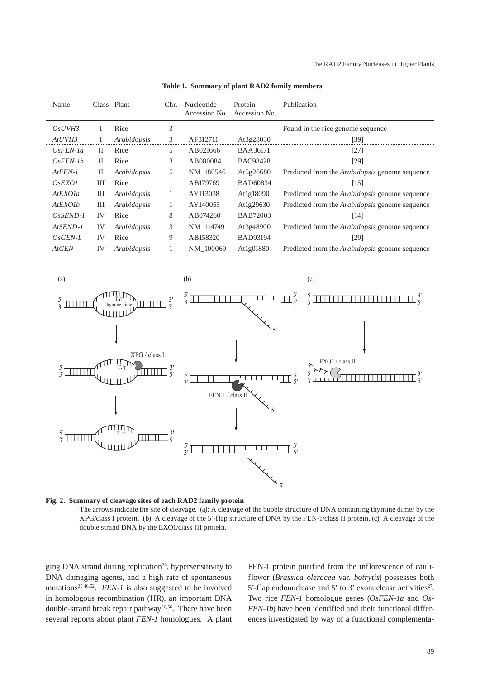| Name           |    | Class Plant | Chr. | Nucleotide<br>Accession No. | Protein<br>Accession No. | Publication                                           |
|----------------|----|-------------|------|-----------------------------|--------------------------|-------------------------------------------------------|
| OsUVH3         |    | Rice        | 3    |                             |                          | Found in the rice genome sequence                     |
| AtUVH3         |    | Arabidopsis | 3    | AF312711                    | At $3g28030$             | [39]                                                  |
| $OsFFN-1a$     | H  | Rice        | 5    | AB021666                    | <b>BAA36171</b>          | [27]                                                  |
| $OsFEN-Ib$     | H  | Rice        | 3    | AB080084                    | <b>BAC98428</b>          | [29]                                                  |
| $At FEN-I$     | H  | Arabidopsis | 5    | NM 180546                   | At5g26680                | Predicted from the <i>Arabidopsis</i> genome sequence |
| <i>OsEXO1</i>  | Ш  | Rice        | 1    | AB179769                    | <b>BAD60834</b>          | [15]                                                  |
| AtEXO1a        | Ш  | Arabidopsis | 1    | AY113038                    | At1g18090                | Predicted from the <i>Arabidopsis</i> genome sequence |
| <i>AtEXOIb</i> | Ш  | Arabidopsis |      | AY140055                    | At1g29630                | Predicted from the Arabidopsis genome sequence        |
| $OsSEND-1$     | IV | Rice        | 8    | AB074260                    | <b>BAB72003</b>          | [14]                                                  |
| $At$ SEND-1    | IV | Arabidopsis | 3    | NM_114749                   | At3g48900                | Predicted from the <i>Arabidopsis</i> genome sequence |
| $OsGEN-L$      | IV | Rice        | 9    | AB158320                    | <b>BAD93194</b>          | [29]                                                  |
| <b>AtGEN</b>   | IV | Arabidopsis |      | NM 100069                   | At1g01880                | Predicted from the <i>Arabidopsis</i> genome sequence |

**Table 1. Summary of plant RAD2 family members**



### **Fig. 2. Summary of cleavage sites of each RAD2 family protein**  The arrows indicate the site of cleavage. (a): A cleavage of the bubble structure of DNA containing thymine dimer by the XPG/class I protein. (b): A cleavage of the 5'-flap structure of DNA by the FEN-1/class II protein. (c): A cleavage of the double strand DNA by the EXO1/class III protein.

ging DNA strand during replication<sup>30</sup>, hypersensitivity to DNA damaging agents, and a high rate of spontaneous mutations<sup>25,46,52</sup>. *FEN-1* is also suggested to be involved in homologous recombination (HR), an important DNA double-strand break repair pathway<sup>26,56</sup>. There have been several reports about plant *FEN-1* homologues. A plant FEN-1 protein purified from the inflorescence of cauliflower (*Brassica oleracea* var. *botrytis*) possesses both 5'-flap endonuclease and 5' to 3' exonuclease activities $2^7$ . Two rice *FEN-1* homologue genes (*OsFEN-1a* and *Os-FEN-1b*) have been identified and their functional differences investigated by way of a functional complementa-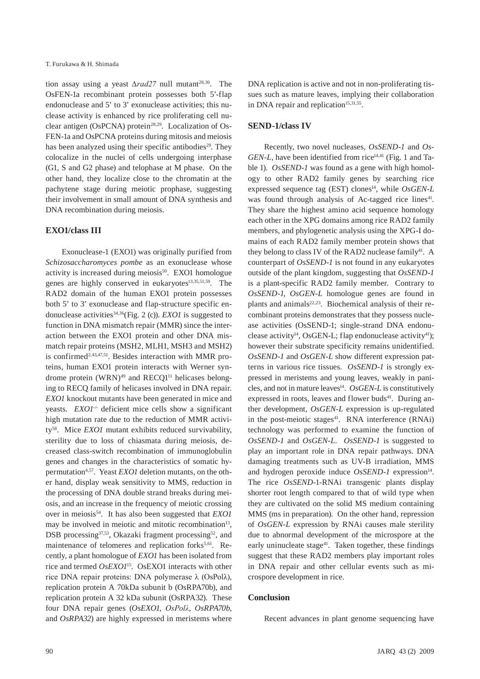tion assay using a yeast *∆rad27* null mutant<sup>28,30</sup>. The OsFEN-1a recombinant protein possesses both 5'-flap endonuclease and 5' to 3' exonuclease activities; this nuclease activity is enhanced by rice proliferating cell nuclear antigen (OsPCNA) protein<sup>28,29</sup>. Localization of Os-FEN-1a and OsPCNA proteins during mitosis and meiosis has been analyzed using their specific antibodies<sup>29</sup>. They colocalize in the nuclei of cells undergoing interphase (G1, S and G2 phase) and telophase at M phase. On the other hand, they localize close to the chromatin at the pachytene stage during meiotic prophase, suggesting their involvement in small amount of DNA synthesis and DNA recombination during meiosis.

#### **EXO1/class III**

Exonuclease-1 (EXO1) was originally purified from *Schizosaccharomyces pombe* as an exonuclease whose activity is increased during meiosis<sup>50</sup>. EXO1 homologue genes are highly conserved in eukaryotes<sup>13,35,51,59</sup>. The RAD2 domain of the human EXO1 protein possesses both 5' to 3' exonuclease and flap-structure specific endonuclease activities34,36(Fig. 2 (c)). *EXO1* is suggested to function in DNA mismatch repair (MMR) since the interaction between the EXO1 protein and other DNA mismatch repair proteins (MSH2, MLH1, MSH3 and MSH2) is confirmed<sup>2,43,47,51</sup>. Besides interaction with MMR proteins, human EXO1 protein interacts with Werner syndrome protein  $(WRN)^{49}$  and RECQ1<sup>11</sup> helicases belonging to RECQ family of helicases involved in DNA repair. *EXO1* knockout mutants have been generated in mice and yeasts. *EXO1<sup>-/-</sup>* deficient mice cells show a significant high mutation rate due to the reduction of MMR activity58. Mice *EXO1* mutant exhibits reduced survivability, sterility due to loss of chiasmata during meiosis, decreased class-switch recombination of immunoglobulin genes and changes in the characteristics of somatic hypermutation<sup>4,57</sup>. Yeast *EXO1* deletion mutants, on the other hand, display weak sensitivity to MMS, reduction in the processing of DNA double strand breaks during meiosis, and an increase in the frequency of meiotic crossing over in meiosis54. It has also been suggested that *EXO1*  may be involved in meiotic and mitotic recombination<sup>13</sup>, DSB processing<sup>37,53</sup>, Okazaki fragment processing<sup>52</sup>, and maintenance of telomeres and replication forks<sup>5,61</sup>. Recently, a plant homologue of *EXO1* has been isolated from rice and termed *OsEXO1*15. OsEXO1 interacts with other rice DNA repair proteins: DNA polymerase λ (OsPolλ), replication protein A 70kDa subunit b (OsRPA70b), and replication protein A 32 kDa subunit (OsRPA32). These four DNA repair genes (*OsEXO1*, *OsPolλ*, *OsRPA70b*, and *OsRPA32*) are highly expressed in meristems where DNA replication is active and not in non-proliferating tissues such as mature leaves, implying their collaboration in DNA repair and replication<sup>15,31,55</sup>.

### **SEND-1/class IV**

Recently, two novel nucleases, *OsSEND-1* and *Os-GEN-L*, have been identified from rice<sup>14,41</sup> (Fig. 1 and Table 1). *OsSEND-1* was found as a gene with high homology to other RAD2 family genes by searching rice expressed sequence tag (EST) clones<sup>14</sup>, while *OsGEN-L* was found through analysis of Ac-tagged rice lines<sup>41</sup>. They share the highest amino acid sequence homology each other in the XPG domains among rice RAD2 family members, and phylogenetic analysis using the XPG-I domains of each RAD2 family member protein shows that they belong to class IV of the RAD2 nuclease family<sup>41</sup>. A counterpart of *OsSEND-1* is not found in any eukaryotes outside of the plant kingdom, suggesting that *OsSEND-1*  is a plant-specific RAD2 family member. Contrary to *OsSEND-1*, *OsGEN-L* homologue genes are found in plants and animals<sup>22,23</sup>. Biochemical analysis of their recombinant proteins demonstrates that they possess nuclease activities (OsSEND-1; single-strand DNA endonuclease activity<sup>14</sup>, OsGEN-L; flap endonuclease activity<sup>41</sup>); however their substrate specificity remains unidentified. *OsSEND-1* and *OsGEN-L* show different expression patterns in various rice tissues. *OsSEND-1* is strongly expressed in meristems and young leaves, weakly in panicles, and not in mature leaves<sup>14</sup>. *OsGEN-L* is constitutively expressed in roots, leaves and flower buds<sup>41</sup>. During anther development, *OsGEN-L* expression is up-regulated in the post-meiotic stages $41$ . RNA interference (RNAi) technology was performed to examine the function of *OsSEND-1* and *OsGEN-L*. *OsSEND-1* is suggested to play an important role in DNA repair pathways. DNA damaging treatments such as UV-B irradiation, MMS and hydrogen peroxide induce *OsSEND-1* expression<sup>14</sup>. The rice *OsSEND-*1-RNAi transgenic plants display shorter root length compared to that of wild type when they are cultivated on the solid MS medium containing MMS (ms in preparation). On the other hand, repression of *OsGEN-L* expression by RNAi causes male sterility due to abnormal development of the microspore at the early uninucleate stage<sup>41</sup>. Taken together, these findings suggest that these RAD2 members play important roles in DNA repair and other cellular events such as microspore development in rice.

### **Conclusion**

Recent advances in plant genome sequencing have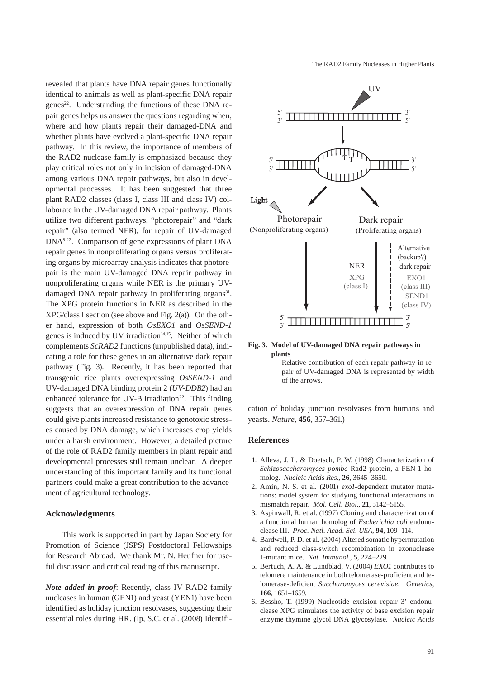The RAD2 Family Nucleases in Higher Plants

revealed that plants have DNA repair genes functionally identical to animals as well as plant-specific DNA repair genes<sup>22</sup>. Understanding the functions of these DNA repair genes helps us answer the questions regarding when, where and how plants repair their damaged-DNA and whether plants have evolved a plant-specific DNA repair pathway. In this review, the importance of members of the RAD2 nuclease family is emphasized because they play critical roles not only in incision of damaged-DNA among various DNA repair pathways, but also in developmental processes. It has been suggested that three plant RAD2 classes (class I, class III and class IV) collaborate in the UV-damaged DNA repair pathway. Plants utilize two different pathways, "photorepair" and "dark repair" (also termed NER), for repair of UV-damaged DNA8,22. Comparison of gene expressions of plant DNA repair genes in nonproliferating organs versus proliferating organs by microarray analysis indicates that photorepair is the main UV-damaged DNA repair pathway in nonproliferating organs while NER is the primary UVdamaged DNA repair pathway in proliferating organs<sup>31</sup>. The XPG protein functions in NER as described in the XPG/class I section (see above and Fig. 2(a)). On the other hand, expression of both *OsEXO1* and *OsSEND-1* genes is induced by UV irradiation<sup>14,15</sup>. Neither of which complements *ScRAD2* functions (unpublished data), indicating a role for these genes in an alternative dark repair pathway (Fig. 3). Recently, it has been reported that transgenic rice plants overexpressing *OsSEND-1* and UV-damaged DNA binding protein 2 (*UV-DDB2*) had an enhanced tolerance for UV-B irradiation<sup>22</sup>. This finding suggests that an overexpression of DNA repair genes could give plants increased resistance to genotoxic stresses caused by DNA damage, which increases crop yields under a harsh environment. However, a detailed picture of the role of RAD2 family members in plant repair and developmental processes still remain unclear. A deeper understanding of this important family and its functional partners could make a great contribution to the advancement of agricultural technology.

#### **Acknowledgments**

This work is supported in part by Japan Society for Promotion of Science (JSPS) Postdoctoral Fellowships for Research Abroad. We thank Mr. N. Heufner for useful discussion and critical reading of this manuscript.

*Note added in proof*: Recently, class IV RAD2 family nucleases in human (GEN1) and yeast (YEN1) have been identified as holiday junction resolvases, suggesting their essential roles during HR. (Ip, S.C. et al. (2008) Identifi-



**Fig. 3. Model of UV-damaged DNA repair pathways in plants** 

Relative contribution of each repair pathway in repair of UV-damaged DNA is represented by width of the arrows.

cation of holiday junction resolvases from humans and yeasts. *Nature*, **456**, 357–361.)

#### **References**

- 1. Alleva, J. L. & Doetsch, P. W. (1998) Characterization of *Schizosaccharomyces pombe* Rad2 protein, a FEN-1 homolog. *Nucleic Acids Res*., **26**, 3645–3650.
- 2. Amin, N. S. et al. (2001) *exo1*-dependent mutator mutations: model system for studying functional interactions in mismatch repair. *Mol. Cell. Biol*., **21**, 5142–5155.
- 3. Aspinwall, R. et al. (1997) Cloning and characterization of a functional human homolog of *Escherichia coli* endonuclease III. *Proc. Natl. Acad. Sci. USA,* **94**, 109–114.
- 4. Bardwell, P. D. et al. (2004) Altered somatic hypermutation and reduced class-switch recombination in exonuclease 1-mutant mice. *Nat. Immunol*., **5**, 224–229.
- 5. Bertuch, A. A. & Lundblad, V. (2004) *EXO1* contributes to telomere maintenance in both telomerase-proficient and telomerase-deficient *Saccharomyces cerevisiae*. *Genetics,* **166**, 1651–1659.
- 6. Bessho, T. (1999) Nucleotide excision repair 3' endonuclease XPG stimulates the activity of base excision repair enzyme thymine glycol DNA glycosylase. *Nucleic Acids*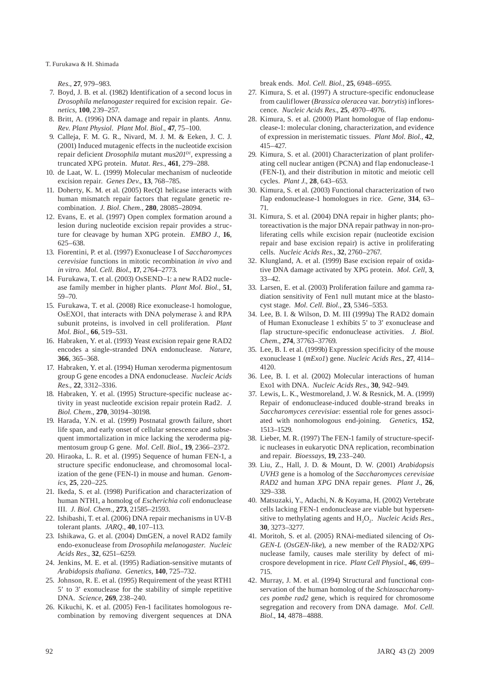T. Furukawa & H. Shimada

*Res.*, **27**, 979–983.

- 7. Boyd, J. B. et al. (1982) Identification of a second locus in *Drosophila melanogaster* required for excision repair. *Genetics*, **100**, 239–257.
- 8. Britt, A. (1996) DNA damage and repair in plants. *Annu. Rev. Plant Physiol. Plant Mol. Biol*., **47**, 75–100.
- 9. Calleja, F. M. G. R., Nivard, M. J. M. & Eeken, J. C. J. (2001) Induced mutagenic effects in the nucleotide excision repair deficient *Drosophila* mutant *mus201D1*, expressing a truncated XPG protein. *Mutat. Res.*, **461**, 279–288.
- 10. de Laat, W. L. (1999) Molecular mechanism of nucleotide excision repair. *Genes Dev*., **13**, 768–785.
- 11. Doherty, K. M. et al. (2005) RecQ1 helicase interacts with human mismatch repair factors that regulate genetic recombination. *J. Biol. Chem.,* **280**, 28085–28094.
- 12. Evans, E. et al. (1997) Open complex formation around a lesion during nucleotide excision repair provides a structure for cleavage by human XPG protein. *EMBO J.*, **16**, 625–638.
- 13. Fiorentini, P. et al. (1997) Exonuclease I of *Saccharomyces cerevisiae* functions in mitotic recombination *in vivo* and *in vitro*. *Mol*. *Cell. Biol*., **17**, 2764–2773.
- 14. Furukawa, T. et al. (2003) OsSEND–1: a new RAD2 nuclease family member in higher plants. *Plant Mol. Biol.,* **51**, 59–70.
- 15. Furukawa, T. et al. (2008) Rice exonuclease-1 homologue, OsEXO1, that interacts with DNA polymerase  $\lambda$  and RPA subunit proteins, is involved in cell proliferation. *Plant Mol. Biol.,* **66**, 519–531.
- 16. Habraken, Y. et al. (1993) Yeast excision repair gene RAD2 encodes a single-stranded DNA endonuclease. *Nature*, **366**, 365–368.
- 17. Habraken, Y. et al. (1994) Human xeroderma pigmentosum group G gene encodes a DNA endonuclease. *Nucleic Acids Res.,* **22**, 3312–3316.
- 18. Habraken, Y. et al. (1995) Structure-specific nuclease activity in yeast nucleotide excision repair protein Rad2. *J. Biol. Chem.,* **270**, 30194–30198.
- 19. Harada, Y.N. et al. (1999) Postnatal growth failure, short life span, and early onset of cellular senescence and subsequent immortalization in mice lacking the xeroderma pigmentosum group G gene. *Mol. Cell. Biol.*, **19**, 2366–2372.
- 20. Hiraoka, L. R. et al. (1995) Sequence of human FEN-1, a structure specific endonuclease, and chromosomal localization of the gene (FEN-1) in mouse and human. *Genomics*, **25**, 220–225.
- 21. Ikeda, S. et al. (1998) Purification and characterization of human NTH1, a homolog of *Escherichia coli* endonuclease III. *J. Biol. Chem.,* **273**, 21585–21593.
- 22. Ishibashi, T. et al. (2006) DNA repair mechanisms in UV-B tolerant plants. *JARQ.,* **40**, 107–113.
- 23. Ishikawa, G. et al. (2004) DmGEN, a novel RAD2 family endo-exonuclease from *Drosophila melanogaster*. *Nucleic Acids Res.*, **32**, 6251–6259.
- 24. Jenkins, M. E. et al. (1995) Radiation-sensitive mutants of *Arabidopsis thaliana*. *Genetics,* **140**, 725–732.
- 25. Johnson, R. E. et al. (1995) Requirement of the yeast RTH1 5' to 3' exonuclease for the stability of simple repetitive DNA. *Science*, **269**, 238–240.
- 26. Kikuchi, K. et al. (2005) Fen-1 facilitates homologous recombination by removing divergent sequences at DNA

break ends. *Mol. Cell. Biol.,* **25**, 6948–6955.

- 27. Kimura, S. et al. (1997) A structure-specific endonuclease from cauliflower (*Brassica oleracea* var. *botrytis*) inflorescence. *Nucleic Acids Res*., **25**, 4970–4976.
- 28. Kimura, S. et al. (2000) Plant homologue of flap endonuclease-1: molecular cloning, characterization, and evidence of expression in meristematic tissues. *Plant Mol. Biol*., **42**, 415–427.
- 29. Kimura, S. et al. (2001) Characterization of plant proliferating cell nuclear antigen (PCNA) and flap endonuclease-1 (FEN-1), and their distribution in mitotic and meiotic cell cycles. *Plant J*., **28**, 643–653.
- 30. Kimura, S. et al. (2003) Functional characterization of two flap endonuclease-1 homologues in rice. *Gene*, **314**, 63– 71.
- 31. Kimura, S. et al. (2004) DNA repair in higher plants; photoreactivation is the major DNA repair pathway in non-proliferating cells while excision repair (nucleotide excision repair and base excision repair) is active in proliferating cells. *Nucleic Acids Res.*, **32**, 2760–2767.
- 32. Klungland, A. et al. (1999) Base excision repair of oxidative DNA damage activated by XPG protein. *Mol. Cell,* **3**, 33–42.
- 33. Larsen, E. et al. (2003) Proliferation failure and gamma radiation sensitivity of Fen1 null mutant mice at the blastocyst stage. *Mol. Cell. Biol.,* **23**, 5346–5353.
- 34. Lee, B. I. & Wilson, D. M. III (1999a) The RAD2 domain of Human Exonuclease 1 exhibits 5' to 3' exonuclease and flap structure-specific endonuclease activities. *J. Biol. Chem.*, **274**, 37763–37769.
- 35. Lee, B. I. et al. (1999b) Expression specificity of the mouse exonuclease 1 (*mExo1*) gene. *Nucleic Acids Res*., **27**, 4114– 4120.
- 36. Lee, B. I. et al. (2002) Molecular interactions of human Exo1 with DNA. *Nucleic Acids Res*., **30**, 942–949.
- 37. Lewis, L. K., Westmoreland, J. W. & Resnick, M. A. (1999) Repair of endonuclease-induced double-strand breaks in *Saccharomyces cerevisiae*: essential role for genes associated with nonhomologous end-joining. *Genetics*, **152**, 1513–1529.
- 38. Lieber, M. R. (1997) The FEN-1 family of structure-specific nucleases in eukaryotic DNA replication, recombination and repair. *Bioessays*, **19**, 233–240.
- 39. Liu, Z., Hall, J. D. & Mount, D. W. (2001) *Arabidopsis UVH3* gene is a homolog of the *Saccharomyces cerevisiae RAD2* and human *XPG* DNA repair genes. *Plant J*., **26**, 329–338.
- 40. Matsuzaki, Y., Adachi, N. & Koyama, H. (2002) Vertebrate cells lacking FEN-1 endonuclease are viable but hypersensitive to methylating agents and H<sub>2</sub>O<sub>2</sub>. *Nucleic Acids Res.*, **30**, 3273–3277.
- 41. Moritoh, S. et al. (2005) RNAi-mediated silencing of *Os-GEN-L* (*OsGEN-like*), a new member of the RAD2/XPG nuclease family, causes male sterility by defect of microspore development in rice. *Plant Cell Physiol*., **46**, 699– 715.
- 42. Murray, J. M. et al. (1994) Structural and functional conservation of the human homolog of the *Schizosaccharomyces pombe rad2* gene, which is required for chromosome segregation and recovery from DNA damage. *Mol. Cell. Biol*., **14**, 4878–4888.